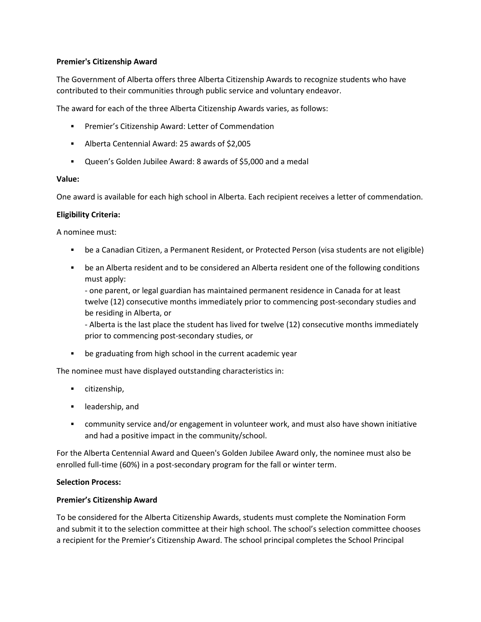## **Premier's Citizenship Award**

The Government of Alberta offers three Alberta Citizenship Awards to recognize students who have contributed to their communities through public service and voluntary endeavor.

The award for each of the three Alberta Citizenship Awards varies, as follows:

- Premier's Citizenship Award: Letter of Commendation
- Alberta Centennial Award: 25 awards of \$2,005
- Queen's Golden Jubilee Award: 8 awards of \$5,000 and a medal

#### **Value:**

One award is available for each high school in Alberta. Each recipient receives a letter of commendation.

#### **Eligibility Criteria:**

A nominee must:

- be a Canadian Citizen, a Permanent Resident, or Protected Person (visa students are not eligible)
- be an Alberta resident and to be considered an Alberta resident one of the following conditions must apply:

- one parent, or legal guardian has maintained permanent residence in Canada for at least twelve (12) consecutive months immediately prior to commencing post-secondary studies and be residing in Alberta, or

- Alberta is the last place the student has lived for twelve (12) consecutive months immediately prior to commencing post-secondary studies, or

be graduating from high school in the current academic year

The nominee must have displayed outstanding characteristics in:

- citizenship,
- **-** leadership, and
- community service and/or engagement in volunteer work, and must also have shown initiative and had a positive impact in the community/school.

For the Alberta Centennial Award and Queen's Golden Jubilee Award only, the nominee must also be enrolled full-time (60%) in a post-secondary program for the fall or winter term.

#### **Selection Process:**

#### **Premier's Citizenship Award**

To be considered for the Alberta Citizenship Awards, students must complete the Nomination Form and submit it to the selection committee at their high school. The school's selection committee chooses a recipient for the Premier's Citizenship Award. The school principal completes the School Principal